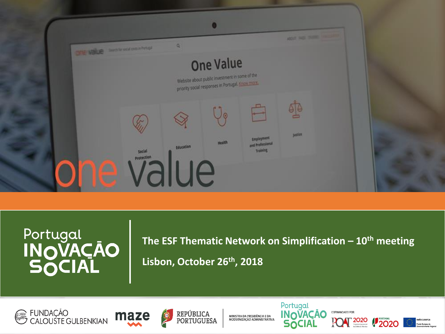

**The ESF Thematic Network on Simplification – 10th meeting Lisbon, October 26th, 2018** 







MINISTRA DA PRESIDÊNCIA E DA<br>MODERNIZACÃO ADMINISTRATIVA



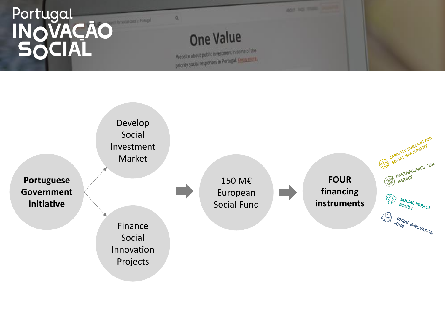

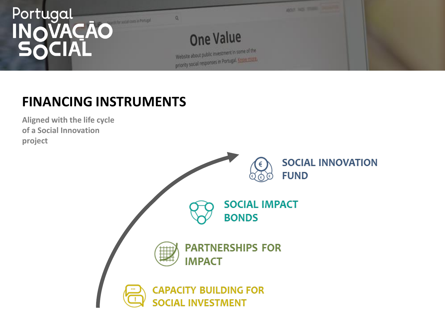

### **FINANCING INSTRUMENTS**

**Aligned with the life cycle of a Social Innovation project**

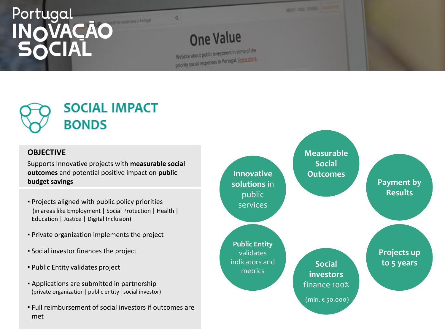

## **SOCIAL IMPACT BONDS**

#### **OBJECTIVE**

Supports Innovative projects with **measurable social outcomes** and potential positive impact on **public budget savings**

- Projects aligned with public policy priorities (in areas like Employment | Social Protection | Health | Education | Justice | Digital Inclusion)
- Private organization implements the project
- Social investor finances the project
- Public Entity validates project
- Applications are submitted in partnership (private organization| public entity |social investor)
- Full reimbursement of social investors if outcomes are met

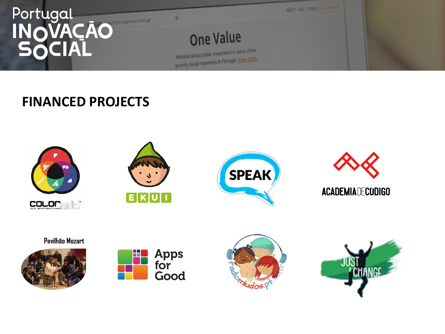

#### **FINANCED PROJECTS**











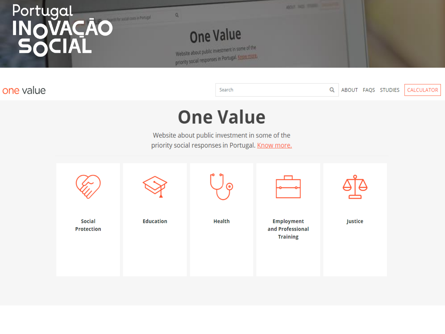

#### one value

Search

Q ABOUT FAQS STUDIES

CALCULATOR

## **One Value**

Website about public investment in some of the priority social responses in Portugal. Know more.

|                                    |                  | ດ             |                                                          |         |
|------------------------------------|------------------|---------------|----------------------------------------------------------|---------|
| <b>Social</b><br><b>Protection</b> | <b>Education</b> | <b>Health</b> | <b>Employment</b><br>and Professional<br><b>Training</b> | Justice |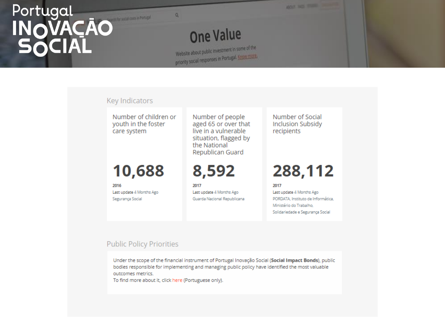## **One Value**

 $\alpha$ 

Website about public investment in some of the priority social responses in Portugal. Enow more

#### Key Indicators

Number of children or youth in the foster care system

#### 10,688

2016 Last update 4 Months Ago Segurança Social

Number of people aged 65 or over that live in a vulnerable situation, flagged by the National Republican Guard

8,592

2017 Last update 4 Months Ago Guarda Nacional Republicana Number of Social **Inclusion Subsidy** recipients

**WOOD THE TANK THE** 

## 288,112

2017 Last update 4 Months Ago PORDATA, Instituto de Informática. Ministério do Trabalho. Solidariedade e Segurança Social

#### **Public Policy Priorities**

Under the scope of the financial instrument of Portugal Inovação Social (Social Impact Bonds), public bodies responsible for implementing and managing public policy have identified the most valuable outcomes metrics.

To find more about it, click here (Portuguese only).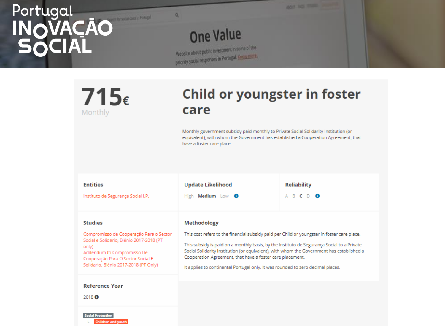**One Value** Website about public investment in some of the priority social responses in Portugal, Engine more

 $\alpha$ 

#### $715 \epsilon$ Monthly

#### **Child or youngster in foster** care

**BOX NO. TURN** 

Monthly government subsidy paid monthly to Private Social Solidarity Institution (or equivalent), with whom the Government has established a Cooperation Agreement, that have a foster care place.

| <b>Entities</b>                                                                                                                                                                                                            | <b>Update Likelihood</b>                                                                                                                                                                                                                                                                                                                                                                                                                                     | <b>Reliability</b> |
|----------------------------------------------------------------------------------------------------------------------------------------------------------------------------------------------------------------------------|--------------------------------------------------------------------------------------------------------------------------------------------------------------------------------------------------------------------------------------------------------------------------------------------------------------------------------------------------------------------------------------------------------------------------------------------------------------|--------------------|
| Instituto de Segurança Social I.P.                                                                                                                                                                                         | High Medium Low <sup>0</sup>                                                                                                                                                                                                                                                                                                                                                                                                                                 | A B C D O          |
| <b>Studies</b><br>Compromisso de Cooperação Para o Sector<br>Social e Solidario, Biénio 2017-2018 (PT<br>only)<br>Addendum to Compromisso De<br>Cooperação Para O Sector Social E<br>Solidario, Biénio 2017-2018 (PT Only) | <b>Methodology</b><br>This cost refers to the financial subsidy paid per Child or youngster in foster care place.<br>This subsidy is paid on a monthly basis, by the Instituto de Segurança Social to a Private<br>Social Solidarity Institution (or equivalent), with whom the Government has established a<br>Cooperation Agreement, that have a foster care placement.<br>It applies to continental Portugal only. It was rounded to zero decimal places. |                    |
| <b>Reference Year</b><br>2018 <sup>O</sup><br><b>Social Protection</b><br><b>Children and youth</b>                                                                                                                        |                                                                                                                                                                                                                                                                                                                                                                                                                                                              |                    |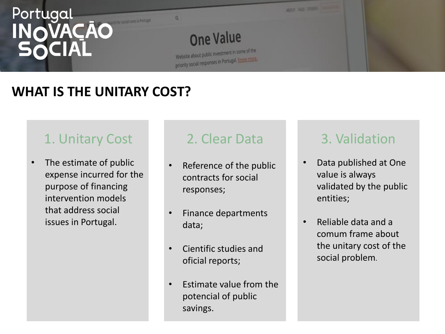

### **WHAT IS THE UNITARY COST?**

### 1. Unitary Cost

• The estimate of public expense incurred for the purpose of financing intervention models that address social issues in Portugal.

#### 2. Clear Data

- Reference of the public contracts for social responses;
- Finance departments data;
- Cientific studies and oficial reports;
- Estimate value from the potencial of public savings.

#### 3. Validation

- Data published at One value is always validated by the public entities;
- Reliable data and a comum frame about the unitary cost of the social problem.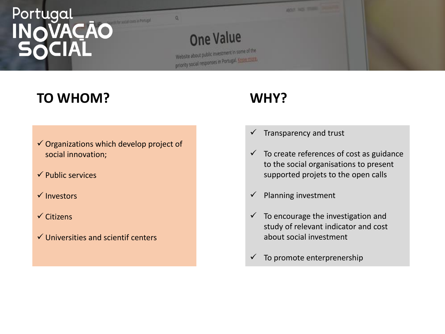

#### **TO WHOM?**

- $\checkmark$  Organizations which develop project of social innovation;
- $\checkmark$  Public services
- $\checkmark$  Investors
- $\checkmark$  Citizens
- $\checkmark$  Universities and scientif centers

### **WHY?**

- $\checkmark$  Transparency and trust
- $\checkmark$  To create references of cost as guidance to the social organisations to present supported projets to the open calls
- $\checkmark$  Planning investment
- $\checkmark$  To encourage the investigation and study of relevant indicator and cost about social investment
- $\checkmark$  To promote enterprenership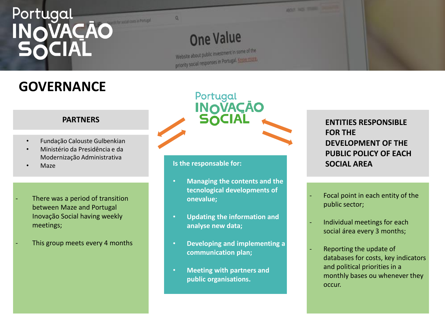**One Value** 

Website about public investment in some of the priority social responses in Portugal. Know mark-

## **GOVERNANCE**

#### **PARTNERS**

- Fundação Calouste Gulbenkian
- Ministério da Presidência e da Modernização Administrativa
- Maze
- There was a period of transition between Maze and Portugal Inovação Social having weekly meetings;
- This group meets every 4 months

Portugal **INOVAÇÃO**<br>SOCIAL

**WOOT THE TOWN** 

#### **Is the responsable for:**

- **Managing the contents and the tecnological developments of onevalue;**
- **Updating the information and analyse new data;**
- **Developing and implementing a communication plan;**
- **Meeting with partners and public organisations.**

#### **ENTITIES RESPONSIBLE FOR THE DEVELOPMENT OF THE PUBLIC POLICY OF EACH SOCIAL AREA**

- Focal point in each entity of the public sector;
- Individual meetings for each social área every 3 months;
- Reporting the update of databases for costs, key indicators and political priorities in a monthly bases ou whenever they occur.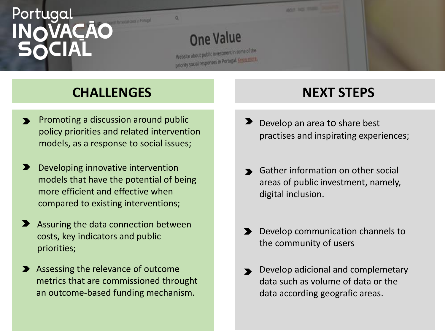

#### **CHALLENGES**

- Promoting a discussion around public  $\blacktriangleright$ policy priorities and related intervention models, as a response to social issues;
- $\blacktriangleright$ Developing innovative intervention models that have the potential of being more efficient and effective when compared to existing interventions;
- Assuring the data connection between costs, key indicators and public priorities;
- Assessing the relevance of outcome metrics that are commissioned throught an outcome-based funding mechanism.

#### **NEXT STEPS**

- Develop an area to share best practises and inspirating experiences;
- **S** Gather information on other social areas of public investment, namely, digital inclusion.
- Develop communication channels to the community of users
- Develop adicional and complemetary data such as volume of data or the data according geografic areas.